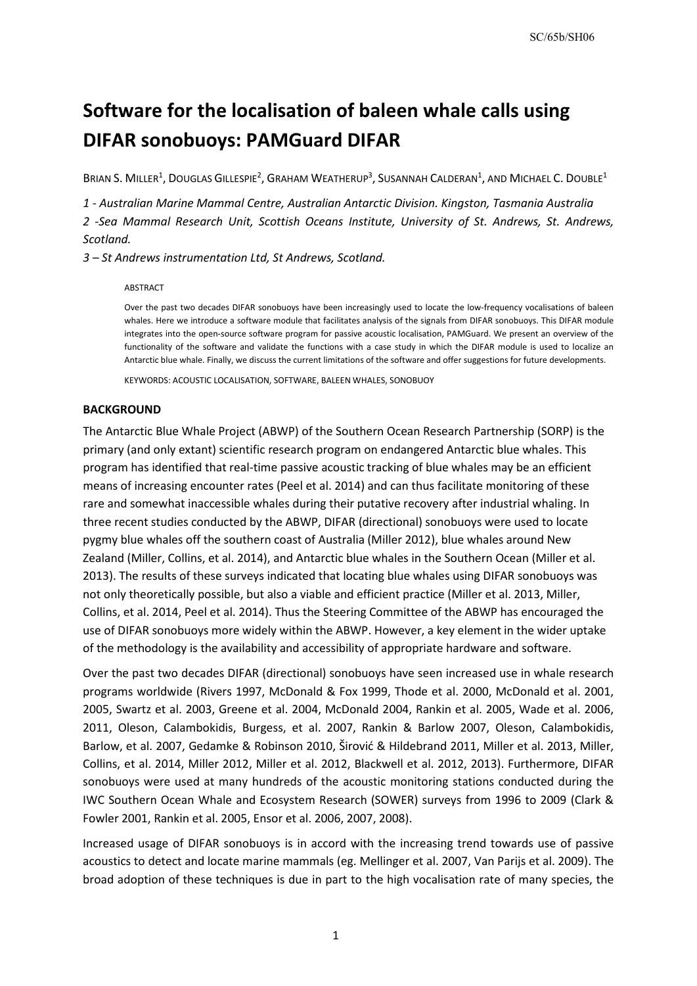# **Software for the localisation of baleen whale calls using DIFAR sonobuoys: PAMGuard DIFAR**

BRIAN S. MILLER<sup>1</sup>, DOUGLAS GILLESPIE<sup>2</sup>, GRAHAM WEATHERUP<sup>3</sup>, SUSANNAH CALDERAN<sup>1</sup>, AND MICHAEL C. DOUBLE<sup>1</sup>

*1 - Australian Marine Mammal Centre, Australian Antarctic Division. Kingston, Tasmania Australia*

*2 -Sea Mammal Research Unit, Scottish Oceans Institute, University of St. Andrews, St. Andrews, Scotland.* 

*3 – St Andrews instrumentation Ltd, St Andrews, Scotland.* 

#### ABSTRACT

Over the past two decades DIFAR sonobuoys have been increasingly used to locate the low-frequency vocalisations of baleen whales. Here we introduce a software module that facilitates analysis of the signals from DIFAR sonobuoys. This DIFAR module integrates into the open-source software program for passive acoustic localisation, PAMGuard. We present an overview of the functionality of the software and validate the functions with a case study in which the DIFAR module is used to localize an Antarctic blue whale. Finally, we discuss the current limitations of the software and offer suggestions for future developments.

KEYWORDS: ACOUSTIC LOCALISATION, SOFTWARE, BALEEN WHALES, SONOBUOY

#### **BACKGROUND**

The Antarctic Blue Whale Project (ABWP) of the Southern Ocean Research Partnership (SORP) is the primary (and only extant) scientific research program on endangered Antarctic blue whales. This program has identified that real-time passive acoustic tracking of blue whales may be an efficient means of increasing encounter rates (Peel et al. 2014) and can thus facilitate monitoring of these rare and somewhat inaccessible whales during their putative recovery after industrial whaling. In three recent studies conducted by the ABWP, DIFAR (directional) sonobuoys were used to locate pygmy blue whales off the southern coast of Australia (Miller 2012), blue whales around New Zealand (Miller, Collins, et al. 2014), and Antarctic blue whales in the Southern Ocean (Miller et al. 2013). The results of these surveys indicated that locating blue whales using DIFAR sonobuoys was not only theoretically possible, but also a viable and efficient practice (Miller et al. 2013, Miller, Collins, et al. 2014, Peel et al. 2014). Thus the Steering Committee of the ABWP has encouraged the use of DIFAR sonobuoys more widely within the ABWP. However, a key element in the wider uptake of the methodology is the availability and accessibility of appropriate hardware and software.

Over the past two decades DIFAR (directional) sonobuoys have seen increased use in whale research programs worldwide (Rivers 1997, McDonald & Fox 1999, Thode et al. 2000, McDonald et al. 2001, 2005, Swartz et al. 2003, Greene et al. 2004, McDonald 2004, Rankin et al. 2005, Wade et al. 2006, 2011, Oleson, Calambokidis, Burgess, et al. 2007, Rankin & Barlow 2007, Oleson, Calambokidis, Barlow, et al. 2007, Gedamke & Robinson 2010, Širović & Hildebrand 2011, Miller et al. 2013, Miller, Collins, et al. 2014, Miller 2012, Miller et al. 2012, Blackwell et al. 2012, 2013). Furthermore, DIFAR sonobuoys were used at many hundreds of the acoustic monitoring stations conducted during the IWC Southern Ocean Whale and Ecosystem Research (SOWER) surveys from 1996 to 2009 (Clark & Fowler 2001, Rankin et al. 2005, Ensor et al. 2006, 2007, 2008).

Increased usage of DIFAR sonobuoys is in accord with the increasing trend towards use of passive acoustics to detect and locate marine mammals (eg. Mellinger et al. 2007, Van Parijs et al. 2009). The broad adoption of these techniques is due in part to the high vocalisation rate of many species, the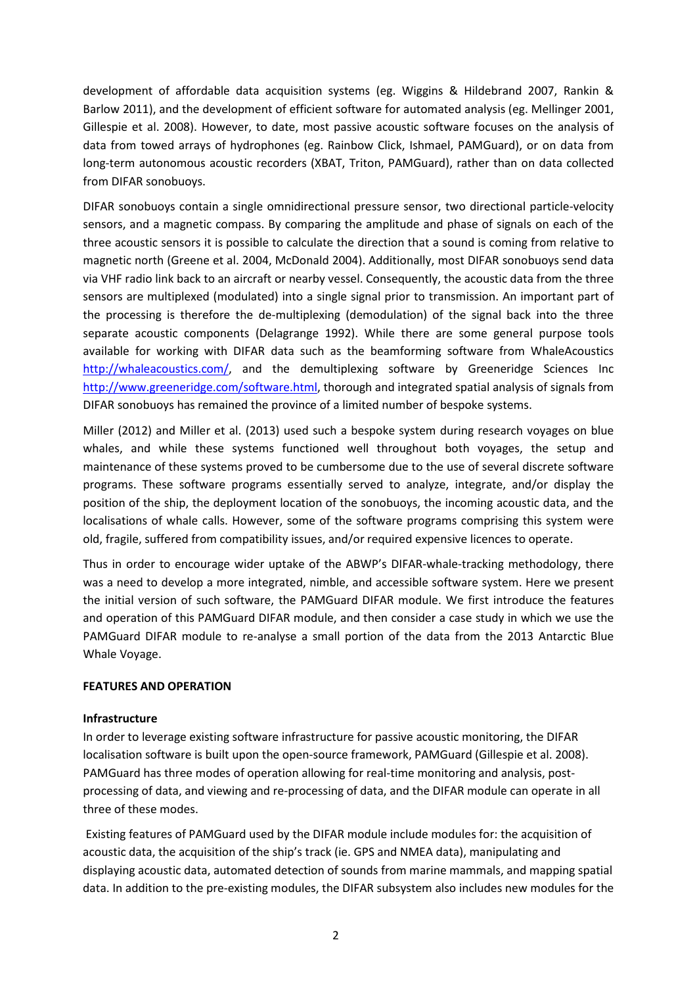development of affordable data acquisition systems (eg. Wiggins & Hildebrand 2007, Rankin & Barlow 2011), and the development of efficient software for automated analysis (eg. Mellinger 2001, Gillespie et al. 2008). However, to date, most passive acoustic software focuses on the analysis of data from towed arrays of hydrophones (eg. Rainbow Click, Ishmael, PAMGuard), or on data from long-term autonomous acoustic recorders (XBAT, Triton, PAMGuard), rather than on data collected from DIFAR sonobuoys.

DIFAR sonobuoys contain a single omnidirectional pressure sensor, two directional particle-velocity sensors, and a magnetic compass. By comparing the amplitude and phase of signals on each of the three acoustic sensors it is possible to calculate the direction that a sound is coming from relative to magnetic north (Greene et al. 2004, McDonald 2004). Additionally, most DIFAR sonobuoys send data via VHF radio link back to an aircraft or nearby vessel. Consequently, the acoustic data from the three sensors are multiplexed (modulated) into a single signal prior to transmission. An important part of the processing is therefore the de-multiplexing (demodulation) of the signal back into the three separate acoustic components (Delagrange 1992). While there are some general purpose tools available for working with DIFAR data such as the beamforming software from WhaleAcoustics [http://whaleacoustics.com/,](http://whaleacoustics.com/) and the demultiplexing software by Greeneridge Sciences Inc [http://www.greeneridge.com/software.html,](http://www.greeneridge.com/software.html) thorough and integrated spatial analysis of signals from DIFAR sonobuoys has remained the province of a limited number of bespoke systems.

Miller (2012) and Miller et al. (2013) used such a bespoke system during research voyages on blue whales, and while these systems functioned well throughout both voyages, the setup and maintenance of these systems proved to be cumbersome due to the use of several discrete software programs. These software programs essentially served to analyze, integrate, and/or display the position of the ship, the deployment location of the sonobuoys, the incoming acoustic data, and the localisations of whale calls. However, some of the software programs comprising this system were old, fragile, suffered from compatibility issues, and/or required expensive licences to operate.

Thus in order to encourage wider uptake of the ABWP's DIFAR-whale-tracking methodology, there was a need to develop a more integrated, nimble, and accessible software system. Here we present the initial version of such software, the PAMGuard DIFAR module. We first introduce the features and operation of this PAMGuard DIFAR module, and then consider a case study in which we use the PAMGuard DIFAR module to re-analyse a small portion of the data from the 2013 Antarctic Blue Whale Voyage.

## **FEATURES AND OPERATION**

## **Infrastructure**

In order to leverage existing software infrastructure for passive acoustic monitoring, the DIFAR localisation software is built upon the open-source framework, PAMGuard (Gillespie et al. 2008). PAMGuard has three modes of operation allowing for real-time monitoring and analysis, postprocessing of data, and viewing and re-processing of data, and the DIFAR module can operate in all three of these modes.

Existing features of PAMGuard used by the DIFAR module include modules for: the acquisition of acoustic data, the acquisition of the ship's track (ie. GPS and NMEA data), manipulating and displaying acoustic data, automated detection of sounds from marine mammals, and mapping spatial data. In addition to the pre-existing modules, the DIFAR subsystem also includes new modules for the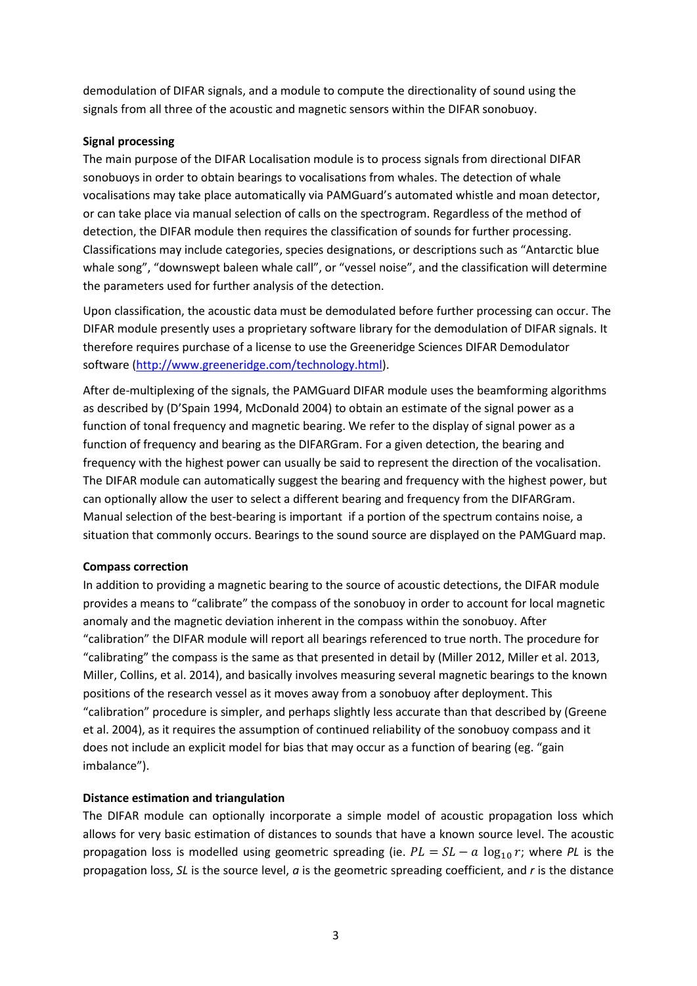demodulation of DIFAR signals, and a module to compute the directionality of sound using the signals from all three of the acoustic and magnetic sensors within the DIFAR sonobuoy.

## **Signal processing**

The main purpose of the DIFAR Localisation module is to process signals from directional DIFAR sonobuoys in order to obtain bearings to vocalisations from whales. The detection of whale vocalisations may take place automatically via PAMGuard's automated whistle and moan detector, or can take place via manual selection of calls on the spectrogram. Regardless of the method of detection, the DIFAR module then requires the classification of sounds for further processing. Classifications may include categories, species designations, or descriptions such as "Antarctic blue whale song", "downswept baleen whale call", or "vessel noise", and the classification will determine the parameters used for further analysis of the detection.

Upon classification, the acoustic data must be demodulated before further processing can occur. The DIFAR module presently uses a proprietary software library for the demodulation of DIFAR signals. It therefore requires purchase of a license to use the Greeneridge Sciences DIFAR Demodulator software [\(http://www.greeneridge.com/technology.html\)](http://www.greeneridge.com/technology.html).

After de-multiplexing of the signals, the PAMGuard DIFAR module uses the beamforming algorithms as described by (D'Spain 1994, McDonald 2004) to obtain an estimate of the signal power as a function of tonal frequency and magnetic bearing. We refer to the display of signal power as a function of frequency and bearing as the DIFARGram. For a given detection, the bearing and frequency with the highest power can usually be said to represent the direction of the vocalisation. The DIFAR module can automatically suggest the bearing and frequency with the highest power, but can optionally allow the user to select a different bearing and frequency from the DIFARGram. Manual selection of the best-bearing is important if a portion of the spectrum contains noise, a situation that commonly occurs. Bearings to the sound source are displayed on the PAMGuard map.

## **Compass correction**

In addition to providing a magnetic bearing to the source of acoustic detections, the DIFAR module provides a means to "calibrate" the compass of the sonobuoy in order to account for local magnetic anomaly and the magnetic deviation inherent in the compass within the sonobuoy. After "calibration" the DIFAR module will report all bearings referenced to true north. The procedure for "calibrating" the compass is the same as that presented in detail by (Miller 2012, Miller et al. 2013, Miller, Collins, et al. 2014), and basically involves measuring several magnetic bearings to the known positions of the research vessel as it moves away from a sonobuoy after deployment. This "calibration" procedure is simpler, and perhaps slightly less accurate than that described by (Greene et al. 2004), as it requires the assumption of continued reliability of the sonobuoy compass and it does not include an explicit model for bias that may occur as a function of bearing (eg. "gain imbalance").

## **Distance estimation and triangulation**

The DIFAR module can optionally incorporate a simple model of acoustic propagation loss which allows for very basic estimation of distances to sounds that have a known source level. The acoustic propagation loss is modelled using geometric spreading (ie.  $PL = SL - a \log_{10} r$ ; where PL is the propagation loss, *SL* is the source level, *a* is the geometric spreading coefficient, and *r* is the distance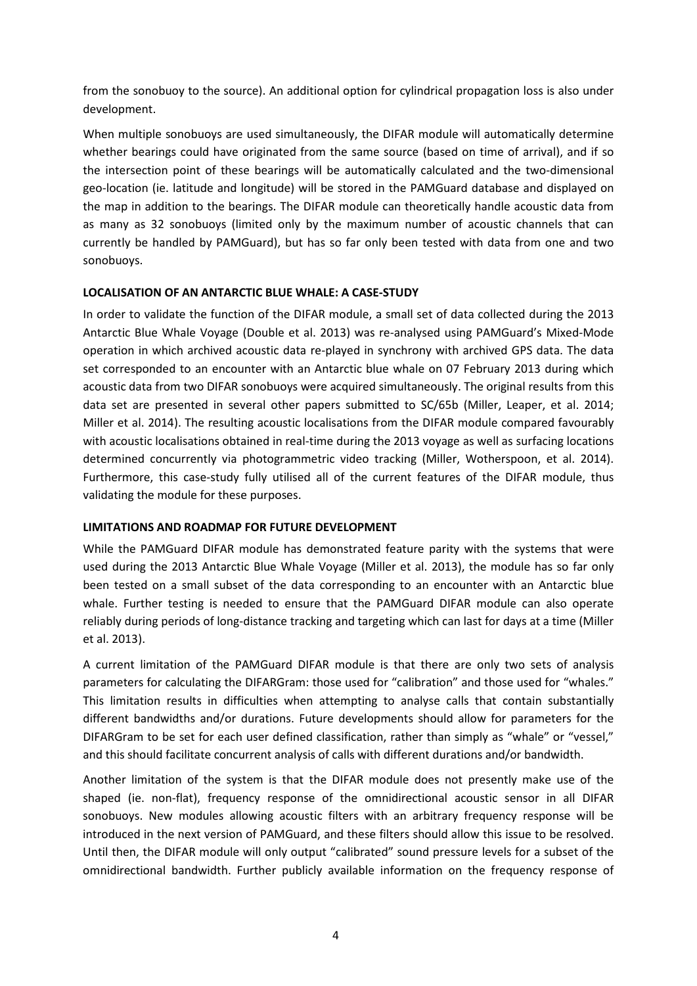from the sonobuoy to the source). An additional option for cylindrical propagation loss is also under development.

When multiple sonobuoys are used simultaneously, the DIFAR module will automatically determine whether bearings could have originated from the same source (based on time of arrival), and if so the intersection point of these bearings will be automatically calculated and the two-dimensional geo-location (ie. latitude and longitude) will be stored in the PAMGuard database and displayed on the map in addition to the bearings. The DIFAR module can theoretically handle acoustic data from as many as 32 sonobuoys (limited only by the maximum number of acoustic channels that can currently be handled by PAMGuard), but has so far only been tested with data from one and two sonobuoys.

## **LOCALISATION OF AN ANTARCTIC BLUE WHALE: A CASE-STUDY**

In order to validate the function of the DIFAR module, a small set of data collected during the 2013 Antarctic Blue Whale Voyage (Double et al. 2013) was re-analysed using PAMGuard's Mixed-Mode operation in which archived acoustic data re-played in synchrony with archived GPS data. The data set corresponded to an encounter with an Antarctic blue whale on 07 February 2013 during which acoustic data from two DIFAR sonobuoys were acquired simultaneously. The original results from this data set are presented in several other papers submitted to SC/65b (Miller, Leaper, et al. 2014; Miller et al. 2014). The resulting acoustic localisations from the DIFAR module compared favourably with acoustic localisations obtained in real-time during the 2013 voyage as well as surfacing locations determined concurrently via photogrammetric video tracking (Miller, Wotherspoon, et al. 2014). Furthermore, this case-study fully utilised all of the current features of the DIFAR module, thus validating the module for these purposes.

## **LIMITATIONS AND ROADMAP FOR FUTURE DEVELOPMENT**

While the PAMGuard DIFAR module has demonstrated feature parity with the systems that were used during the 2013 Antarctic Blue Whale Voyage (Miller et al. 2013), the module has so far only been tested on a small subset of the data corresponding to an encounter with an Antarctic blue whale. Further testing is needed to ensure that the PAMGuard DIFAR module can also operate reliably during periods of long-distance tracking and targeting which can last for days at a time (Miller et al. 2013).

A current limitation of the PAMGuard DIFAR module is that there are only two sets of analysis parameters for calculating the DIFARGram: those used for "calibration" and those used for "whales." This limitation results in difficulties when attempting to analyse calls that contain substantially different bandwidths and/or durations. Future developments should allow for parameters for the DIFARGram to be set for each user defined classification, rather than simply as "whale" or "vessel," and this should facilitate concurrent analysis of calls with different durations and/or bandwidth.

Another limitation of the system is that the DIFAR module does not presently make use of the shaped (ie. non-flat), frequency response of the omnidirectional acoustic sensor in all DIFAR sonobuoys. New modules allowing acoustic filters with an arbitrary frequency response will be introduced in the next version of PAMGuard, and these filters should allow this issue to be resolved. Until then, the DIFAR module will only output "calibrated" sound pressure levels for a subset of the omnidirectional bandwidth. Further publicly available information on the frequency response of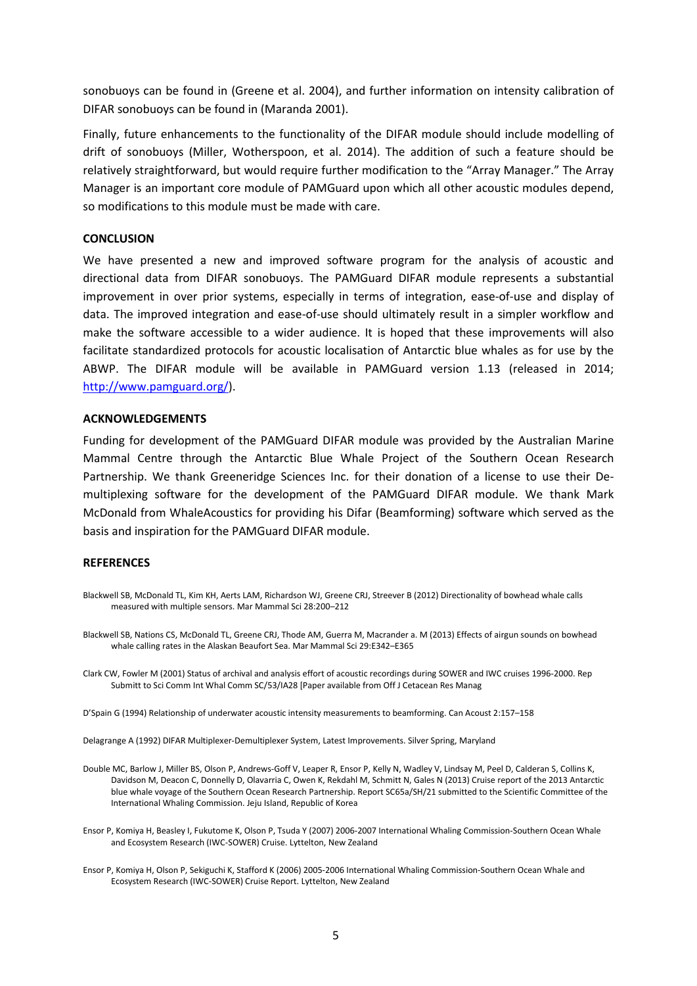sonobuoys can be found in (Greene et al. 2004), and further information on intensity calibration of DIFAR sonobuoys can be found in (Maranda 2001).

Finally, future enhancements to the functionality of the DIFAR module should include modelling of drift of sonobuoys (Miller, Wotherspoon, et al. 2014). The addition of such a feature should be relatively straightforward, but would require further modification to the "Array Manager." The Array Manager is an important core module of PAMGuard upon which all other acoustic modules depend, so modifications to this module must be made with care.

#### **CONCLUSION**

We have presented a new and improved software program for the analysis of acoustic and directional data from DIFAR sonobuoys. The PAMGuard DIFAR module represents a substantial improvement in over prior systems, especially in terms of integration, ease-of-use and display of data. The improved integration and ease-of-use should ultimately result in a simpler workflow and make the software accessible to a wider audience. It is hoped that these improvements will also facilitate standardized protocols for acoustic localisation of Antarctic blue whales as for use by the ABWP. The DIFAR module will be available in PAMGuard version 1.13 (released in 2014; [http://www.pamguard.org/\)](http://www.pamguard.org/).

### **ACKNOWLEDGEMENTS**

Funding for development of the PAMGuard DIFAR module was provided by the Australian Marine Mammal Centre through the Antarctic Blue Whale Project of the Southern Ocean Research Partnership. We thank Greeneridge Sciences Inc. for their donation of a license to use their Demultiplexing software for the development of the PAMGuard DIFAR module. We thank Mark McDonald from WhaleAcoustics for providing his Difar (Beamforming) software which served as the basis and inspiration for the PAMGuard DIFAR module.

#### **REFERENCES**

Blackwell SB, McDonald TL, Kim KH, Aerts LAM, Richardson WJ, Greene CRJ, Streever B (2012) Directionality of bowhead whale calls measured with multiple sensors. Mar Mammal Sci 28:200–212

Blackwell SB, Nations CS, McDonald TL, Greene CRJ, Thode AM, Guerra M, Macrander a. M (2013) Effects of airgun sounds on bowhead whale calling rates in the Alaskan Beaufort Sea. Mar Mammal Sci 29:E342–E365

Clark CW, Fowler M (2001) Status of archival and analysis effort of acoustic recordings during SOWER and IWC cruises 1996-2000. Rep Submitt to Sci Comm Int Whal Comm SC/53/IA28 [Paper available from Off J Cetacean Res Manag

D'Spain G (1994) Relationship of underwater acoustic intensity measurements to beamforming. Can Acoust 2:157–158

Delagrange A (1992) DIFAR Multiplexer-Demultiplexer System, Latest Improvements. Silver Spring, Maryland

Double MC, Barlow J, Miller BS, Olson P, Andrews-Goff V, Leaper R, Ensor P, Kelly N, Wadley V, Lindsay M, Peel D, Calderan S, Collins K, Davidson M, Deacon C, Donnelly D, Olavarria C, Owen K, Rekdahl M, Schmitt N, Gales N (2013) Cruise report of the 2013 Antarctic blue whale voyage of the Southern Ocean Research Partnership. Report SC65a/SH/21 submitted to the Scientific Committee of the International Whaling Commission. Jeju Island, Republic of Korea

- Ensor P, Komiya H, Beasley I, Fukutome K, Olson P, Tsuda Y (2007) 2006-2007 International Whaling Commission-Southern Ocean Whale and Ecosystem Research (IWC-SOWER) Cruise. Lyttelton, New Zealand
- Ensor P, Komiya H, Olson P, Sekiguchi K, Stafford K (2006) 2005-2006 International Whaling Commission-Southern Ocean Whale and Ecosystem Research (IWC-SOWER) Cruise Report. Lyttelton, New Zealand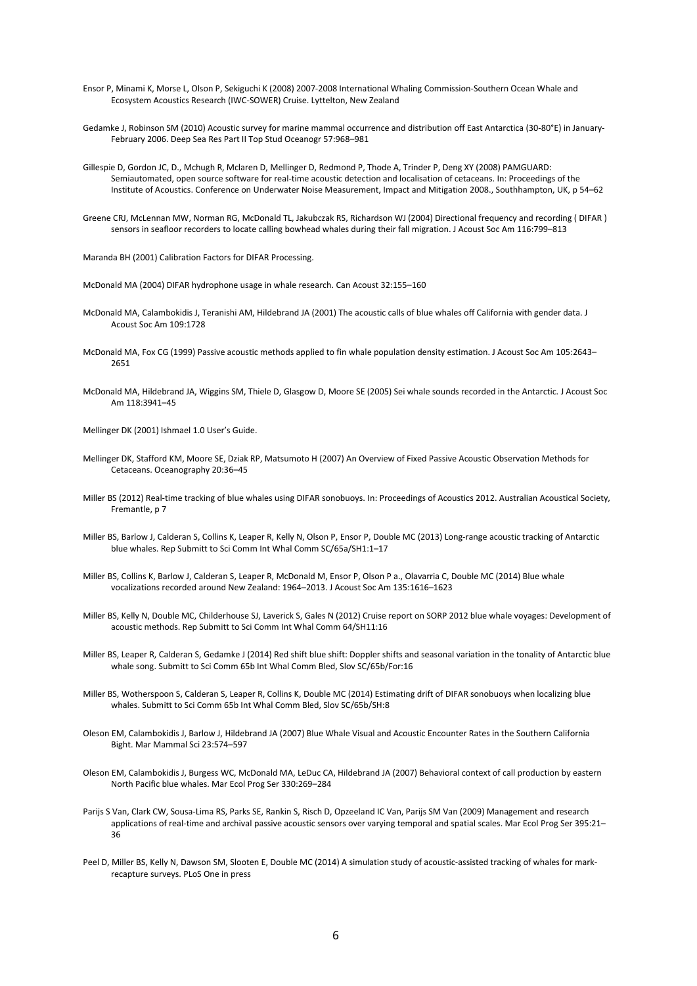- Ensor P, Minami K, Morse L, Olson P, Sekiguchi K (2008) 2007-2008 International Whaling Commission-Southern Ocean Whale and Ecosystem Acoustics Research (IWC-SOWER) Cruise. Lyttelton, New Zealand
- Gedamke J, Robinson SM (2010) Acoustic survey for marine mammal occurrence and distribution off East Antarctica (30-80°E) in January-February 2006. Deep Sea Res Part II Top Stud Oceanogr 57:968–981
- Gillespie D, Gordon JC, D., Mchugh R, Mclaren D, Mellinger D, Redmond P, Thode A, Trinder P, Deng XY (2008) PAMGUARD: Semiautomated, open source software for real-time acoustic detection and localisation of cetaceans. In: Proceedings of the Institute of Acoustics. Conference on Underwater Noise Measurement, Impact and Mitigation 2008., Southhampton, UK, p 54–62
- Greene CRJ, McLennan MW, Norman RG, McDonald TL, Jakubczak RS, Richardson WJ (2004) Directional frequency and recording ( DIFAR ) sensors in seafloor recorders to locate calling bowhead whales during their fall migration. J Acoust Soc Am 116:799–813
- Maranda BH (2001) Calibration Factors for DIFAR Processing.
- McDonald MA (2004) DIFAR hydrophone usage in whale research. Can Acoust 32:155–160
- McDonald MA, Calambokidis J, Teranishi AM, Hildebrand JA (2001) The acoustic calls of blue whales off California with gender data. J Acoust Soc Am 109:1728
- McDonald MA, Fox CG (1999) Passive acoustic methods applied to fin whale population density estimation. J Acoust Soc Am 105:2643– 2651
- McDonald MA, Hildebrand JA, Wiggins SM, Thiele D, Glasgow D, Moore SE (2005) Sei whale sounds recorded in the Antarctic. J Acoust Soc Am 118:3941–45
- Mellinger DK (2001) Ishmael 1.0 User's Guide.
- Mellinger DK, Stafford KM, Moore SE, Dziak RP, Matsumoto H (2007) An Overview of Fixed Passive Acoustic Observation Methods for Cetaceans. Oceanography 20:36–45
- Miller BS (2012) Real-time tracking of blue whales using DIFAR sonobuoys. In: Proceedings of Acoustics 2012. Australian Acoustical Society, Fremantle, p 7
- Miller BS, Barlow J, Calderan S, Collins K, Leaper R, Kelly N, Olson P, Ensor P, Double MC (2013) Long-range acoustic tracking of Antarctic blue whales. Rep Submitt to Sci Comm Int Whal Comm SC/65a/SH1:1–17
- Miller BS, Collins K, Barlow J, Calderan S, Leaper R, McDonald M, Ensor P, Olson P a., Olavarria C, Double MC (2014) Blue whale vocalizations recorded around New Zealand: 1964–2013. J Acoust Soc Am 135:1616–1623
- Miller BS, Kelly N, Double MC, Childerhouse SJ, Laverick S, Gales N (2012) Cruise report on SORP 2012 blue whale voyages: Development of acoustic methods. Rep Submitt to Sci Comm Int Whal Comm 64/SH11:16
- Miller BS, Leaper R, Calderan S, Gedamke J (2014) Red shift blue shift: Doppler shifts and seasonal variation in the tonality of Antarctic blue whale song. Submitt to Sci Comm 65b Int Whal Comm Bled, Slov SC/65b/For:16
- Miller BS, Wotherspoon S, Calderan S, Leaper R, Collins K, Double MC (2014) Estimating drift of DIFAR sonobuoys when localizing blue whales. Submitt to Sci Comm 65b Int Whal Comm Bled, Slov SC/65b/SH:8
- Oleson EM, Calambokidis J, Barlow J, Hildebrand JA (2007) Blue Whale Visual and Acoustic Encounter Rates in the Southern California Bight. Mar Mammal Sci 23:574–597
- Oleson EM, Calambokidis J, Burgess WC, McDonald MA, LeDuc CA, Hildebrand JA (2007) Behavioral context of call production by eastern North Pacific blue whales. Mar Ecol Prog Ser 330:269–284
- Parijs S Van, Clark CW, Sousa-Lima RS, Parks SE, Rankin S, Risch D, Opzeeland IC Van, Parijs SM Van (2009) Management and research applications of real-time and archival passive acoustic sensors over varying temporal and spatial scales. Mar Ecol Prog Ser 395:21– 36
- Peel D, Miller BS, Kelly N, Dawson SM, Slooten E, Double MC (2014) A simulation study of acoustic-assisted tracking of whales for markrecapture surveys. PLoS One in press